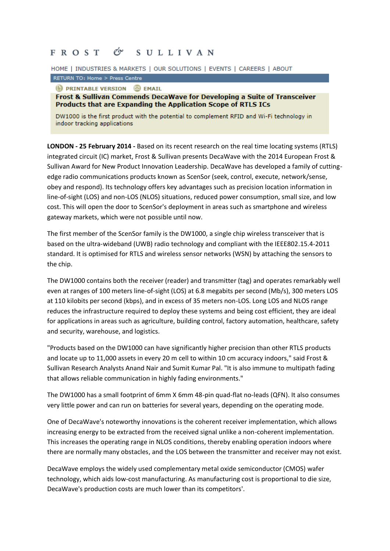## FROST & SULLIVAN

HOME | INDUSTRIES & MARKETS | OUR SOLUTIONS | EVENTS | CAREERS | ABOUT

RETURN TO: Home > Press Centre

**D** PRINTABLE VERSION **D** EMAIL

Frost & Sullivan Commends DecaWave for Developing a Suite of Transceiver Products that are Expanding the Application Scope of RTLS ICs

DW1000 is the first product with the potential to complement RFID and Wi-Fi technology in indoor tracking applications

**LONDON - 25 February 2014 -** Based on its recent research on the real time locating systems (RTLS) integrated circuit (IC) market, Frost & Sullivan presents DecaWave with the 2014 European Frost & Sullivan Award for New Product Innovation Leadership. DecaWave has developed a family of cuttingedge radio communications products known as ScenSor (seek, control, execute, network/sense, obey and respond). Its technology offers key advantages such as precision location information in line-of-sight (LOS) and non-LOS (NLOS) situations, reduced power consumption, small size, and low cost. This will open the door to ScenSor's deployment in areas such as smartphone and wireless gateway markets, which were not possible until now.

The first member of the ScenSor family is the DW1000, a single chip wireless transceiver that is based on the ultra-wideband (UWB) radio technology and compliant with the IEEE802.15.4-2011 standard. It is optimised for RTLS and wireless sensor networks (WSN) by attaching the sensors to the chip.

The DW1000 contains both the receiver (reader) and transmitter (tag) and operates remarkably well even at ranges of 100 meters line-of-sight (LOS) at 6.8 megabits per second (Mb/s), 300 meters LOS at 110 kilobits per second (kbps), and in excess of 35 meters non-LOS. Long LOS and NLOS range reduces the infrastructure required to deploy these systems and being cost efficient, they are ideal for applications in areas such as agriculture, building control, factory automation, healthcare, safety and security, warehouse, and logistics.

"Products based on the DW1000 can have significantly higher precision than other RTLS products and locate up to 11,000 assets in every 20 m cell to within 10 cm accuracy indoors," said Frost & Sullivan Research Analysts Anand Nair and Sumit Kumar Pal. "It is also immune to multipath fading that allows reliable communication in highly fading environments."

The DW1000 has a small footprint of 6mm X 6mm 48-pin quad-flat no-leads (QFN). It also consumes very little power and can run on batteries for several years, depending on the operating mode.

One of DecaWave's noteworthy innovations is the coherent receiver implementation, which allows increasing energy to be extracted from the received signal unlike a non-coherent implementation. This increases the operating range in NLOS conditions, thereby enabling operation indoors where there are normally many obstacles, and the LOS between the transmitter and receiver may not exist.

DecaWave employs the widely used complementary metal oxide semiconductor (CMOS) wafer technology, which aids low-cost manufacturing. As manufacturing cost is proportional to die size, DecaWave's production costs are much lower than its competitors'.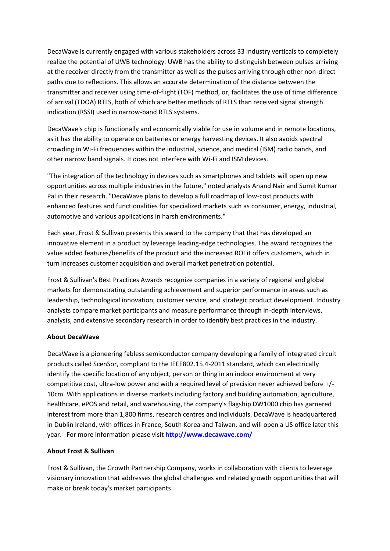DecaWave is currently engaged with various stakeholders across 33 industry verticals to completely realize the potential of UWB technology. UWB has the ability to distinguish between pulses arriving at the receiver directly from the transmitter as well as the pulses arriving through other non-direct paths due to reflections. This allows an accurate determination of the distance between the transmitter and receiver using time-of-flight (TOF) method, or, facilitates the use of time difference of arrival (TDOA) RTLS, both of which are better methods of RTLS than received signal strength indication (RSSI) used in narrow-band RTLS systems.

DecaWave's chip is functionally and economically viable for use in volume and in remote locations, as it has the ability to operate on batteries or energy harvesting devices. It also avoids spectral crowding in Wi-Fi frequencies within the industrial, science, and medical (ISM) radio bands, and other narrow band signals. It does not interfere with Wi-Fi and ISM devices.

"The integration of the technology in devices such as smartphones and tablets will open up new opportunities across multiple industries in the future," noted analysts Anand Nair and Sumit Kumar Pal in their research. "DecaWave plans to develop a full roadmap of low-cost products with enhanced features and functionalities for specialized markets such as consumer, energy, industrial, automotive and various applications in harsh environments."

Each year, Frost & Sullivan presents this award to the company that that has developed an innovative element in a product by leverage leading-edge technologies. The award recognizes the value added features/benefits of the product and the increased ROI it offers customers, which in turn increases customer acquisition and overall market penetration potential.

Frost & Sullivan's Best Practices Awards recognize companies in a variety of regional and global markets for demonstrating outstanding achievement and superior performance in areas such as leadership, technological innovation, customer service, and strategic product development. Industry analysts compare market participants and measure performance through in-depth interviews, analysis, and extensive secondary research in order to identify best practices in the industry.

## **About DecaWave**

DecaWave is a pioneering fabless semiconductor company developing a family of integrated circuit products called ScenSor, compliant to the IEEE802.15.4-2011 standard, which can electrically identify the specific location of any object, person or thing in an indoor environment at very competitive cost, ultra-low power and with a required level of precision never achieved before +/- 10cm. With applications in diverse markets including factory and building automation, agriculture, healthcare, ePOS and retail, and warehousing, the company's flagship DW1000 chip has garnered interest from more than 1,800 firms, research centres and individuals. DecaWave is headquartered in Dublin Ireland, with offices in France, South Korea and Taiwan, and will open a US office later this year. For more information please visit **<http://www.decawave.com/>**

## **About Frost & Sullivan**

Frost & Sullivan, the Growth Partnership Company, works in collaboration with clients to leverage visionary innovation that addresses the global challenges and related growth opportunities that will make or break today's market participants.